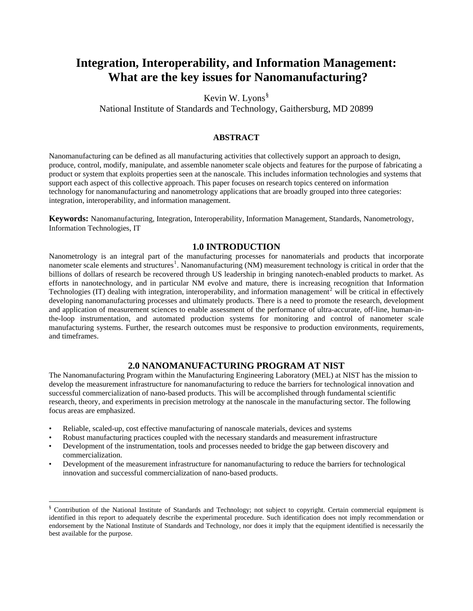# **Integration, Interoperability, and Information Management: What are the key issues for Nanomanufacturing?**

Kevin W. Lyons<sup>[§](#page-0-0)</sup>

National Institute of Standards and Technology, Gaithersburg, MD 20899

#### **ABSTRACT**

Nanomanufacturing can be defined as all manufacturing activities that collectively support an approach to design, produce, control, modify, manipulate, and assemble nanometer scale objects and features for the purpose of fabricating a product or system that exploits properties seen at the nanoscale. This includes information technologies and systems that support each aspect of this collective approach. This paper focuses on research topics centered on information technology for nanomanufacturing and nanometrology applications that are broadly grouped into three categories: integration, interoperability, and information management.

**Keywords:** Nanomanufacturing, Integration, Interoperability, Information Management, Standards, Nanometrology, Information Technologies, IT

# **1.0 INTRODUCTION**

Nanometrology is an integral part of the manufacturing processes for nanomaterials and products that incorporate nanometer scale elements and structures<sup>[1](#page-3-0)</sup>. Nanomanufacturing (NM) measurement technology is critical in order that the billions of dollars of research be recovered through US leadership in bringing nanotech-enabled products to market. As efforts in nanotechnology, and in particular NM evolve and mature, there is increasing recognition that Information Technologies (IT) dealing with integration, interoperability, and information management<sup>[2](#page-3-1)</sup> will be critical in effectively developing nanomanufacturing processes and ultimately products. There is a need to promote the research, development and application of measurement sciences to enable assessment of the performance of ultra-accurate, off-line, human-inthe-loop instrumentation, and automated production systems for monitoring and control of nanometer scale manufacturing systems. Further, the research outcomes must be responsive to production environments, requirements, and timeframes.

# **2.0 NANOMANUFACTURING PROGRAM AT NIST**

The Nanomanufacturing Program within the Manufacturing Engineering Laboratory (MEL) at NIST has the mission to develop the measurement infrastructure for nanomanufacturing to reduce the barriers for technological innovation and successful commercialization of nano-based products. This will be accomplished through fundamental scientific research, theory, and experiments in precision metrology at the nanoscale in the manufacturing sector. The following focus areas are emphasized.

• Reliable, scaled-up, cost effective manufacturing of nanoscale materials, devices and systems

<u>.</u>

- Robust manufacturing practices coupled with the necessary standards and measurement infrastructure
- Development of the instrumentation, tools and processes needed to bridge the gap between discovery and commercialization.
- Development of the measurement infrastructure for nanomanufacturing to reduce the barriers for technological innovation and successful commercialization of nano-based products.

<span id="page-0-0"></span><sup>§</sup> Contribution of the National Institute of Standards and Technology; not subject to copyright. Certain commercial equipment is identified in this report to adequately describe the experimental procedure. Such identification does not imply recommendation or endorsement by the National Institute of Standards and Technology, nor does it imply that the equipment identified is necessarily the best available for the purpose.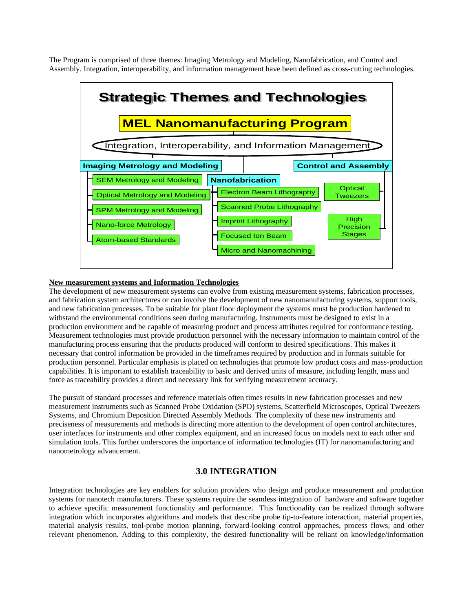The Program is comprised of three themes: Imaging Metrology and Modeling, Nanofabrication, and Control and Assembly. Integration, interoperability, and information management have been defined as cross-cutting technologies.



#### **New measurement systems and Information Technologies**

The development of new measurement systems can evolve from existing measurement systems, fabrication processes, and fabrication system architectures or can involve the development of new nanomanufacturing systems, support tools, and new fabrication processes. To be suitable for plant floor deployment the systems must be production hardened to withstand the environmental conditions seen during manufacturing. Instruments must be designed to exist in a production environment and be capable of measuring product and process attributes required for conformance testing. Measurement technologies must provide production personnel with the necessary information to maintain control of the manufacturing process ensuring that the products produced will conform to desired specifications. This makes it necessary that control information be provided in the timeframes required by production and in formats suitable for production personnel. Particular emphasis is placed on technologies that promote low product costs and mass-production capabilities. It is important to establish traceability to basic and derived units of measure, including length, mass and force as traceability provides a direct and necessary link for verifying measurement accuracy.

The pursuit of standard processes and reference materials often times results in new fabrication processes and new measurement instruments such as Scanned Probe Oxidation (SPO) systems, Scatterfield Microscopes, Optical Tweezers Systems, and Chromium Deposition Directed Assembly Methods. The complexity of these new instruments and preciseness of measurements and methods is directing more attention to the development of open control architectures, user interfaces for instruments and other complex equipment, and an increased focus on models next to each other and simulation tools. This further underscores the importance of information technologies (IT) for nanomanufacturing and nanometrology advancement.

# **3.0 INTEGRATION**

Integration technologies are key enablers for solution providers who design and produce measurement and production systems for nanotech manufacturers. These systems require the seamless integration of hardware and software together to achieve specific measurement functionality and performance. This functionality can be realized through software integration which incorporates algorithms and models that describe probe tip-to-feature interaction, material properties, material analysis results, tool-probe motion planning, forward-looking control approaches, process flows, and other relevant phenomenon. Adding to this complexity, the desired functionality will be reliant on knowledge/information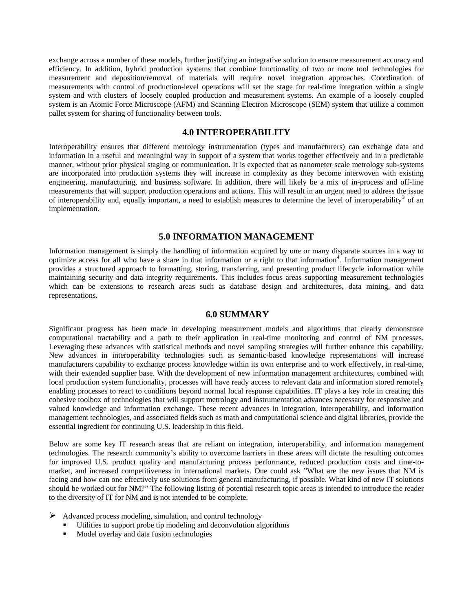exchange across a number of these models, further justifying an integrative solution to ensure measurement accuracy and efficiency. In addition, hybrid production systems that combine functionality of two or more tool technologies for measurement and deposition/removal of materials will require novel integration approaches. Coordination of measurements with control of production-level operations will set the stage for real-time integration within a single system and with clusters of loosely coupled production and measurement systems. An example of a loosely coupled system is an Atomic Force Microscope (AFM) and Scanning Electron Microscope (SEM) system that utilize a common pallet system for sharing of functionality between tools.

#### **4.0 INTEROPERABILITY**

Interoperability ensures that different metrology instrumentation (types and manufacturers) can exchange data and information in a useful and meaningful way in support of a system that works together effectively and in a predictable manner, without prior physical staging or communication. It is expected that as nanometer scale metrology sub-systems are incorporated into production systems they will increase in complexity as they become interwoven with existing engineering, manufacturing, and business software. In addition, there will likely be a mix of in-process and off-line measurements that will support production operations and actions. This will result in an urgent need to address the issue of interoperability and, equally important, a need to establish measures to determine the level of interoperability<sup>[3](#page-4-0)</sup> of an implementation.

#### **5.0 INFORMATION MANAGEMENT**

Information management is simply the handling of information acquired by one or many disparate sources in a way to optimize access for all who have a share in that information or a right to that information<sup>[4](#page-4-0)</sup>. Information management provides a structured approach to formatting, storing, transferring, and presenting product lifecycle information while maintaining security and data integrity requirements. This includes focus areas supporting measurement technologies which can be extensions to research areas such as database design and architectures, data mining, and data representations.

#### **6.0 SUMMARY**

Significant progress has been made in developing measurement models and algorithms that clearly demonstrate computational tractability and a path to their application in real-time monitoring and control of NM processes. Leveraging these advances with statistical methods and novel sampling strategies will further enhance this capability. New advances in interoperability technologies such as semantic-based knowledge representations will increase manufacturers capability to exchange process knowledge within its own enterprise and to work effectively, in real-time, with their extended supplier base. With the development of new information management architectures, combined with local production system functionality, processes will have ready access to relevant data and information stored remotely enabling processes to react to conditions beyond normal local response capabilities. IT plays a key role in creating this cohesive toolbox of technologies that will support metrology and instrumentation advances necessary for responsive and valued knowledge and information exchange. These recent advances in integration, interoperability, and information management technologies, and associated fields such as math and computational science and digital libraries, provide the essential ingredient for continuing U.S. leadership in this field.

Below are some key IT research areas that are reliant on integration, interoperability, and information management technologies. The research community's ability to overcome barriers in these areas will dictate the resulting outcomes for improved U.S. product quality and manufacturing process performance, reduced production costs and time-tomarket, and increased competitiveness in international markets. One could ask "What are the new issues that NM is facing and how can one effectively use solutions from general manufacturing, if possible. What kind of new IT solutions should be worked out for NM?" The following listing of potential research topic areas is intended to introduce the reader to the diversity of IT for NM and is not intended to be complete.

- $\triangleright$  Advanced process modeling, simulation, and control technology
	- Utilities to support probe tip modeling and deconvolution algorithms
	- Model overlay and data fusion technologies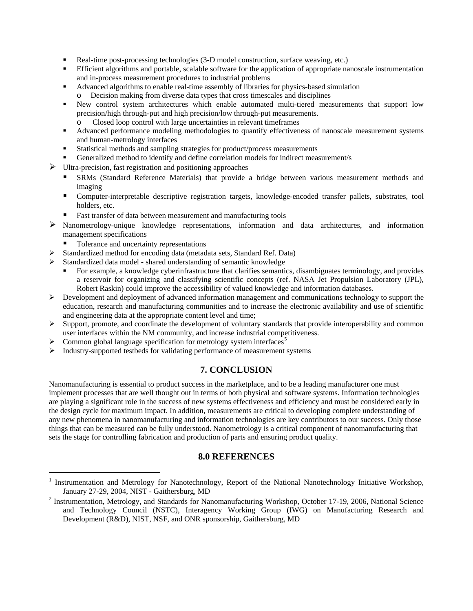- <span id="page-3-1"></span>Real-time post-processing technologies (3-D model construction, surface weaving, etc.)
- Efficient algorithms and portable, scalable software for the application of appropriate nanoscale instrumentation and in-process measurement procedures to industrial problems
	- Advanced algorithms to enable real-time assembly of libraries for physics-based simulation
		- o Decision making from diverse data types that cross timescales and disciplines
- New control system architectures which enable automated multi-tiered measurements that support low precision/high through-put and high precision/low through-put measurements.
	- o Closed loop control with large uncertainties in relevant timeframes
- Advanced performance modeling methodologies to quantify effectiveness of nanoscale measurement systems and human-metrology interfaces
- Statistical methods and sampling strategies for product/process measurements
- Generalized method to identify and define correlation models for indirect measurement/s
- ¾ Ultra-precision, fast registration and positioning approaches
	- SRMs (Standard Reference Materials) that provide a bridge between various measurement methods and imaging
	- Computer-interpretable descriptive registration targets, knowledge-encoded transfer pallets, substrates, tool holders, etc.
	- Fast transfer of data between measurement and manufacturing tools
- ¾ Nanometrology-unique knowledge representations, information and data architectures, and information management specifications
	- Tolerance and uncertainty representations

<u>.</u>

- ¾ Standardized method for encoding data (metadata sets, Standard Ref. Data)
- Standardized data model shared understanding of semantic knowledge
	- For example, a knowledge cyberinfrastructure that clarifies semantics, disambiguates terminology, and provides a reservoir for organizing and classifying scientific concepts (ref. NASA Jet Propulsion Laboratory (JPL), Robert Raskin) could improve the accessibility of valued knowledge and information databases.
- ¾ Development and deployment of advanced information management and communications technology to support the education, research and manufacturing communities and to increase the electronic availability and use of scientific and engineering data at the appropriate content level and time;
- $\triangleright$  Support, promote, and coordinate the development of voluntary standards that provide interoperability and common user interfaces within the NM community, and increase industrial competitiveness.
- Common global language specification for metrology system interfaces<sup>[5](#page-4-0)</sup>
- ¾ Industry-supported testbeds for validating performance of measurement systems

# **7. CONCLUSION**

Nanomanufacturing is essential to product success in the marketplace, and to be a leading manufacturer one must implement processes that are well thought out in terms of both physical and software systems. Information technologies are playing a significant role in the success of new systems effectiveness and efficiency and must be considered early in the design cycle for maximum impact. In addition, measurements are critical to developing complete understanding of any new phenomena in nanomanufacturing and information technologies are key contributors to our success. Only those things that can be measured can be fully understood. Nanometrology is a critical component of nanomanufacturing that sets the stage for controlling fabrication and production of parts and ensuring product quality.

# **8.0 REFERENCES**

<span id="page-3-0"></span><sup>1</sup> Instrumentation and Metrology for Nanotechnology, Report of the National Nanotechnology Initiative Workshop, January 27-29, 2004, NIST - Gaithersburg, MD 2

<sup>&</sup>lt;sup>2</sup> Instrumentation, Metrology, and Standards for Nanomanufacturing Workshop, October 17-19, 2006, National Science and Technology Council (NSTC), Interagency Working Group (IWG) on Manufacturing Research and Development (R&D), NIST, NSF, and ONR sponsorship, Gaithersburg, MD